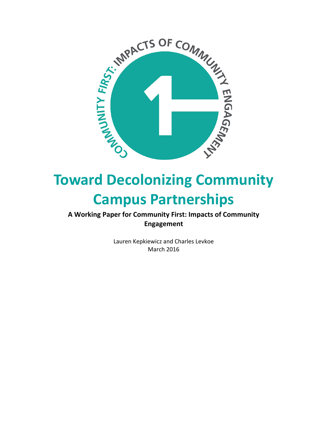

# **Toward Decolonizing Community Campus Partnerships**

**A Working Paper for Community First: Impacts of Community Engagement**

> Lauren Kepkiewicz and Charles Levkoe March 2016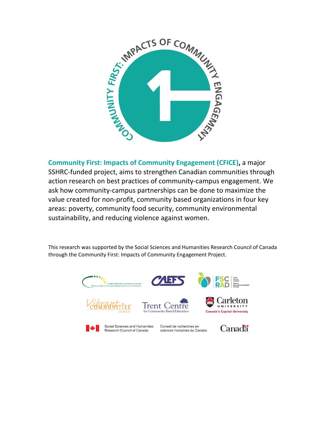

**Community First: Impacts of Community Engagement (CFICE),** a major SSHRC-funded project, aims to strengthen Canadian communities through action research on best practices of community-campus engagement. We ask how community-campus partnerships can be done to maximize the value created for non-profit, community based organizations in four key areas: poverty, community food security, community environmental sustainability, and reducing violence against women.

This research was supported by the Social Sciences and Humanities Research Council of Canada through the Community First: Impacts of Community Engagement Project.

or Community-Based Education





Social Sciences and Humanities Research Council of Canada

Conseil de recherches en sciences humaines du Canada



**Canada's Capital University**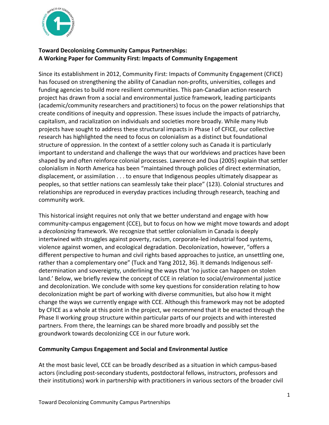

## **Toward Decolonizing Community Campus Partnerships: A Working Paper for Community First: Impacts of Community Engagement**

Since its establishment in 2012, Community First: Impacts of Community Engagement (CFICE) has focused on strengthening the ability of Canadian non-profits, universities, colleges and funding agencies to build more resilient communities. This pan-Canadian action research project has drawn from a social and environmental justice framework, leading participants (academic/community researchers and practitioners) to focus on the power relationships that create conditions of inequity and oppression. These issues include the impacts of patriarchy, capitalism, and racialization on individuals and societies more broadly. While many Hub projects have sought to address these structural impacts in Phase I of CFICE, our collective research has highlighted the need to focus on colonialism as a distinct but foundational structure of oppression. In the context of a settler colony such as Canada it is particularly important to understand and challenge the ways that our worldviews and practices have been shaped by and often reinforce colonial processes. Lawrence and Dua (2005) explain that settler colonialism in North America has been "maintained through policies of direct extermination, displacement, or assimilation . . . to ensure that Indigenous peoples ultimately disappear as peoples, so that settler nations can seamlessly take their place" (123). Colonial structures and relationships are reproduced in everyday practices including through research, teaching and community work.

This historical insight requires not only that we better understand and engage with how community-campus engagement (CCE), but to focus on how we might move towards and adopt a *decolonizing* framework. We recognize that settler colonialism in Canada is deeply intertwined with struggles against poverty, racism, corporate-led industrial food systems, violence against women, and ecological degradation. Decolonization, however, "offers a different perspective to human and civil rights based approaches to justice, an unsettling one, rather than a complementary one" (Tuck and Yang 2012, 36). It demands Indigenous selfdetermination and sovereignty, underlining the ways that 'no justice can happen on stolen land.' Below, we briefly review the concept of CCE in relation to social/environmental justice and decolonization. We conclude with some key questions for consideration relating to how decolonization might be part of working with diverse communities, but also how it might change the ways we currently engage with CCE. Although this framework may not be adopted by CFICE as a whole at this point in the project, we recommend that it be enacted through the Phase II working group structure within particular parts of our projects and with interested partners. From there, the learnings can be shared more broadly and possibly set the groundwork towards decolonizing CCE in our future work.

### **Community Campus Engagement and Social and Environmental Justice**

At the most basic level, CCE can be broadly described as a situation in which campus-based actors (including post-secondary students, postdoctoral fellows, instructors, professors and their institutions) work in partnership with practitioners in various sectors of the broader civil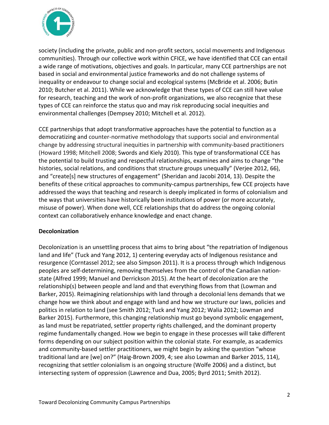

society (including the private, public and non-profit sectors, social movements and Indigenous communities). Through our collective work within CFICE, we have identified that CCE can entail a wide range of motivations, objectives and goals. In particular, many CCE partnerships are not based in social and environmental justice frameworks and do not challenge systems of inequality or endeavour to change social and ecological systems (McBride et al. 2006; Butin 2010; Butcher et al. 2011). While we acknowledge that these types of CCE can still have value for research, teaching and the work of non-profit organizations, we also recognize that these types of CCE can reinforce the status quo and may risk reproducing social inequities and environmental challenges (Dempsey 2010; Mitchell et al. 2012).

CCE partnerships that adopt transformative approaches have the potential to function as a democratizing and counter-normative methodology that supports social and environmental change by addressing structural inequities in partnership with community-based practitioners (Howard 1998; Mitchell 2008; Swords and Kiely 2010). This type of transformational CCE has the potential to build trusting and respectful relationships, examines and aims to change "the histories, social relations, and conditions that structure groups unequally" (Verjee 2012, 66), and "create[s] new structures of engagement" (Sheridan and Jacobi 2014, 13). Despite the benefits of these critical approaches to community-campus partnerships, few CCE projects have addressed the ways that teaching and research is deeply implicated in forms of colonialism and the ways that universities have historically been institutions of power (or more accurately, misuse of power). When done well, CCE relationships that do address the ongoing colonial context can collaboratively enhance knowledge and enact change.

### **Decolonization**

Decolonization is an unsettling process that aims to bring about "the repatriation of Indigenous land and life" (Tuck and Yang 2012, 1) centering everyday acts of Indigenous resistance and resurgence (Corntassel 2012; see also Simpson 2011). It is a process through which Indigenous peoples are self-determining, removing themselves from the control of the Canadian nationstate (Alfred 1999; Manuel and Derrickson 2015). At the heart of decolonization are the relationship(s) between people and land and that everything flows from that (Lowman and Barker, 2015). Reimagining relationships with land through a decolonial lens demands that we change how we think about and engage with land and how we structure our laws, policies and politics in relation to land (see Smith 2012; Tuck and Yang 2012; Walia 2012; Lowman and Barker 2015). Furthermore, this changing relationship must go beyond symbolic engagement, as land must be repatriated, settler property rights challenged, and the dominant property regime fundamentally changed. How we begin to engage in these processes will take different forms depending on our subject position within the colonial state. For example, as academics and community-based settler practitioners, we might begin by asking the question "whose traditional land are [we] on?" (Haig-Brown 2009, 4; see also Lowman and Barker 2015, 114), recognizing that settler colonialism is an ongoing structure (Wolfe 2006) and a distinct, but intersecting system of oppression (Lawrence and Dua, 2005; Byrd 2011; Smith 2012).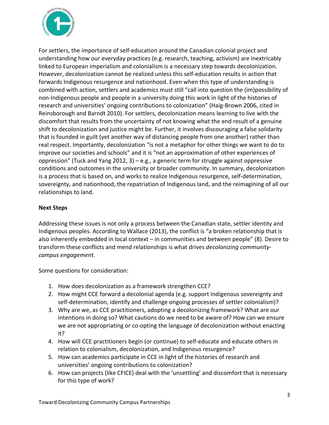

For settlers, the importance of self-education around the Canadian colonial project and understanding how our everyday practices (e.g. research, teaching, activism) are inextricably linked to European imperialism and colonialism is a necessary step towards decolonization. However, decolonization cannot be realized unless this self-education results in action that forwards Indigenous resurgence and nationhood. Even when this type of understanding is combined with action, settlers and academics must still "call into question the (im)possibility of non-Indigenous people and people in a university doing this work in light of the histories of research and universities' ongoing contributions to colonization" (Haig-Brown 2006, cited in Reinsborough and Barndt 2010). For settlers, decolonization means learning to live with the discomfort that results from the uncertainty of not knowing what the end result of a genuine shift to decolonization and justice might be. Further, it involves discouraging a false solidarity that is founded in guilt (yet another way of distancing people from one another) rather than real respect. Importantly, decolonization "is not a metaphor for other things we want to do to improve our societies and schools" and it is "not an approximation of other experiences of oppression" (Tuck and Yang 2012, 3) – e.g., a generic term for struggle against oppressive conditions and outcomes in the university or broader community. In summary, decolonization is a process that is based on, and works to realize Indigenous resurgence, self-determination, sovereignty, and nationhood, the repatriation of Indigenous land, and the reimagining of all our relationships to land.

### **Next Steps**

Addressing these issues is not only a process between the Canadian state, settler identity and Indigenous peoples. According to Wallace (2013), the conflict is "a broken relationship that is also inherently embedded in local context – in communities and between people" (8). Desire to transform these conflicts and mend relationships is what drives *decolonizing communitycampus engagement*.

Some questions for consideration:

- 1. How does decolonization as a framework strengthen CCE?
- 2. How might CCE forward a decolonial agenda (e.g. support Indigenous sovereignty and self-determination, identify and challenge ongoing processes of settler colonialism)?
- 3. Why are we, as CCE practitioners, adopting a decolonizing framework? What are our intentions in doing so? What cautions do we need to be aware of? How can we ensure we are not appropriating or co-opting the language of decolonization without enacting it?
- 4. How will CCE practitioners begin (or continue) to self-educate and educate others in relation to colonialism, decolonization, and Indigenous resurgence?
- 5. How can academics participate in CCE in light of the histories of research and universities' ongoing contributions to colonization?
- 6. How can projects (like CFICE) deal with the 'unsettling' and discomfort that is necessary for this type of work?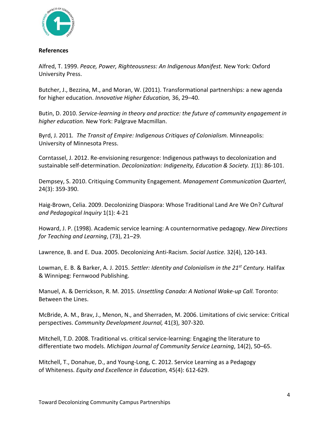

#### **References**

Alfred, T. 1999. *Peace, Power, Righteousness: An Indigenous Manifest.* New York: Oxford University Press.

Butcher, J., Bezzina, M., and Moran, W. (2011). Transformational partnerships: a new agenda for higher education. *Innovative Higher Education,* 36, 29–40.

Butin, D. 2010. *Service-learning in theory and practice: the future of community engagement in higher education.* New York: Palgrave Macmillan.

Byrd, J. 2011*. The Transit of Empire: Indigenous Critiques of Colonialism.* Minneapolis: University of Minnesota Press.

Corntassel, J. 2012. Re-envisioning resurgence: Indigenous pathways to decolonization and sustainable self-determination. *Decolonization: Indigeneity, Education & Society. 1*(1): 86-101.

Dempsey, S. 2010. Critiquing Community Engagement. *Management Communication Quarterl*, 24(3): 359-390.

Haig-Brown, Celia. 2009. Decolonizing Diaspora: Whose Traditional Land Are We On? *Cultural and Pedagogical Inquiry* 1(1): 4-21

Howard, J. P. (1998). Academic service learning: A counternormative pedagogy. *New Directions for Teaching and Learning*, (73), 21–29.

Lawrence, B. and E. Dua. 2005. Decolonizing Anti-Racism. *Social Justice.* 32(4), 120-143.

Lowman, E. B. & Barker, A. J. 2015. *Settler: Identity and Colonialism in the 21st Century.* Halifax & Winnipeg: Fernwood Publishing.

Manuel, A. & Derrickson, R. M. 2015. *Unsettling Canada: A National Wake-up Call.* Toronto: Between the Lines.

McBride, A. M., Brav, J., Menon, N., and Sherraden, M. 2006. Limitations of civic service: Critical perspectives. *Community Development Journal,* 41(3), 307-320.

Mitchell, T.D. 2008. Traditional vs. critical service-learning: Engaging the literature to differentiate two models. *Michigan Journal of Community Service Learning*, 14(2), 50–65.

Mitchell, T., Donahue, D., and Young-Long, C. 2012. Service Learning as a Pedagogy of Whiteness. *Equity and Excellence in Education*, 45(4): 612-629.